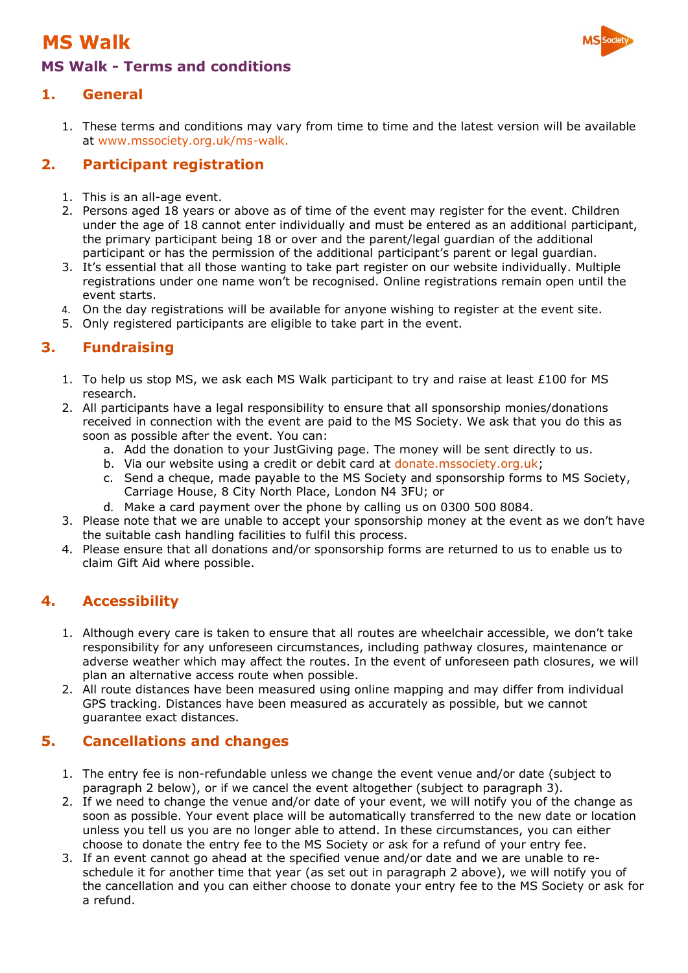## **MS Walk**



### **MS Walk - Terms and conditions**

### **1. General**

1. These terms and conditions may vary from time to time and the latest version will be available at [www.mssociety.org.uk/ms-walk.](http://www.mssociety.org.uk/ms-walk)

### **2. Participant registration**

- 1. This is an all-age event.
- 2. Persons aged 18 years or above as of time of the event may register for the event. Children under the age of 18 cannot enter individually and must be entered as an additional participant, the primary participant being 18 or over and the parent/legal guardian of the additional participant or has the permission of the additional participant's parent or legal guardian.
- 3. It's essential that all those wanting to take part register on our website individually. Multiple registrations under one name won't be recognised. Online registrations remain open until the event starts.
- 4. On the day registrations will be available for anyone wishing to register at the event site.
- 5. Only registered participants are eligible to take part in the event.

### **3. Fundraising**

- 1. To help us stop MS, we ask each MS Walk participant to try and raise at least £100 for MS research.
- 2. All participants have a legal responsibility to ensure that all sponsorship monies/donations received in connection with the event are paid to the MS Society. We ask that you do this as soon as possible after the event. You can:
	- a. Add the donation to your JustGiving page. The money will be sent directly to us.
	- b. Via our website using a credit or debit card at donate.mssociety.org.uk;
	- c. Send a cheque, made payable to the MS Society and sponsorship forms to MS Society, Carriage House, 8 City North Place, London N4 3FU; or
	- d. Make a card payment over the phone by calling us on 0300 500 8084.
- 3. Please note that we are unable to accept your sponsorship money at the event as we don't have the suitable cash handling facilities to fulfil this process.
- 4. Please ensure that all donations and/or sponsorship forms are returned to us to enable us to claim Gift Aid where possible.

### **4. Accessibility**

- 1. Although every care is taken to ensure that all routes are wheelchair accessible, we don't take responsibility for any unforeseen circumstances, including pathway closures, maintenance or adverse weather which may affect the routes. In the event of unforeseen path closures, we will plan an alternative access route when possible.
- 2. All route distances have been measured using online mapping and may differ from individual GPS tracking. Distances have been measured as accurately as possible, but we cannot guarantee exact distances.

### **5. Cancellations and changes**

- 1. The entry fee is non-refundable unless we change the event venue and/or date (subject to paragraph 2 below), or if we cancel the event altogether (subject to paragraph 3).
- 2. If we need to change the venue and/or date of your event, we will notify you of the change as soon as possible. Your event place will be automatically transferred to the new date or location unless you tell us you are no longer able to attend. In these circumstances, you can either choose to donate the entry fee to the MS Society or ask for a refund of your entry fee.
- 3. If an event cannot go ahead at the specified venue and/or date and we are unable to reschedule it for another time that year (as set out in paragraph 2 above), we will notify you of the cancellation and you can either choose to donate your entry fee to the MS Society or ask for a refund.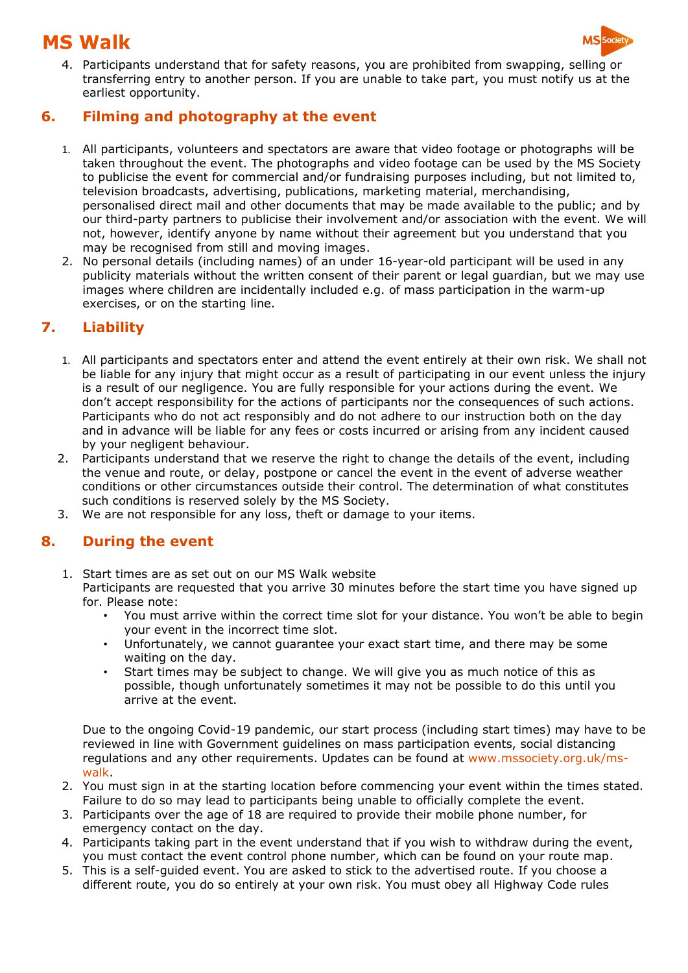# **MS Walk**



4. Participants understand that for safety reasons, you are prohibited from swapping, selling or transferring entry to another person. If you are unable to take part, you must notify us at the earliest opportunity.

#### **6. Filming and photography at the event**

- 1. All participants, volunteers and spectators are aware that video footage or photographs will be taken throughout the event. The photographs and video footage can be used by the MS Society to publicise the event for commercial and/or fundraising purposes including, but not limited to, television broadcasts, advertising, publications, marketing material, merchandising, personalised direct mail and other documents that may be made available to the public; and by our third-party partners to publicise their involvement and/or association with the event. We will not, however, identify anyone by name without their agreement but you understand that you may be recognised from still and moving images.
- 2. No personal details (including names) of an under 16-year-old participant will be used in any publicity materials without the written consent of their parent or legal guardian, but we may use images where children are incidentally included e.g. of mass participation in the warm-up exercises, or on the starting line.

### **7. Liability**

- 1. All participants and spectators enter and attend the event entirely at their own risk. We shall not be liable for any injury that might occur as a result of participating in our event unless the injury is a result of our negligence. You are fully responsible for your actions during the event. We don't accept responsibility for the actions of participants nor the consequences of such actions. Participants who do not act responsibly and do not adhere to our instruction both on the day and in advance will be liable for any fees or costs incurred or arising from any incident caused by your negligent behaviour.
- 2. Participants understand that we reserve the right to change the details of the event, including the venue and route, or delay, postpone or cancel the event in the event of adverse weather conditions or other circumstances outside their control. The determination of what constitutes such conditions is reserved solely by the MS Society.
- 3. We are not responsible for any loss, theft or damage to your items.

### **8. During the event**

- 1. Start times are as set out on our MS Walk website Participants are requested that you arrive 30 minutes before the start time you have signed up for. Please note:
	- You must arrive within the correct time slot for your distance. You won't be able to begin your event in the incorrect time slot.
	- Unfortunately, we cannot guarantee your exact start time, and there may be some waiting on the day.
	- Start times may be subject to change. We will give you as much notice of this as possible, though unfortunately sometimes it may not be possible to do this until you arrive at the event.

Due to the ongoing Covid-19 pandemic, our start process (including start times) may have to be reviewed in line with Government guidelines on mass participation events, social distancing regulations and any other requirements. Updates can be found at www.mssociety.org.uk/mswalk.

- 2. You must sign in at the starting location before commencing your event within the times stated. Failure to do so may lead to participants being unable to officially complete the event.
- 3. Participants over the age of 18 are required to provide their mobile phone number, for emergency contact on the day.
- 4. Participants taking part in the event understand that if you wish to withdraw during the event, you must contact the event control phone number, which can be found on your route map.
- 5. This is a self-guided event. You are asked to stick to the advertised route. If you choose a different route, you do so entirely at your own risk. You must obey all Highway Code rules